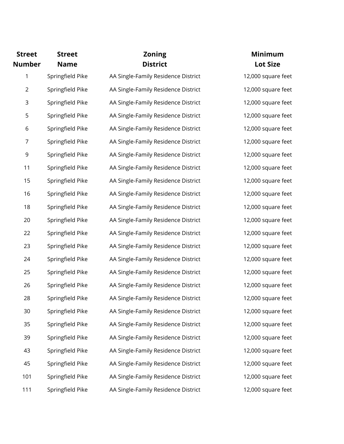| <b>Street</b>  | <b>Street</b>    | <b>Zoning</b>                       | <b>Minimum</b>     |
|----------------|------------------|-------------------------------------|--------------------|
| <b>Number</b>  | <b>Name</b>      | <b>District</b>                     | <b>Lot Size</b>    |
| 1              | Springfield Pike | AA Single-Family Residence District | 12,000 square feet |
| $\overline{2}$ | Springfield Pike | AA Single-Family Residence District | 12,000 square feet |
| 3              | Springfield Pike | AA Single-Family Residence District | 12,000 square feet |
| 5              | Springfield Pike | AA Single-Family Residence District | 12,000 square feet |
| 6              | Springfield Pike | AA Single-Family Residence District | 12,000 square feet |
| 7              | Springfield Pike | AA Single-Family Residence District | 12,000 square feet |
| 9              | Springfield Pike | AA Single-Family Residence District | 12,000 square feet |
| 11             | Springfield Pike | AA Single-Family Residence District | 12,000 square feet |
| 15             | Springfield Pike | AA Single-Family Residence District | 12,000 square feet |
| 16             | Springfield Pike | AA Single-Family Residence District | 12,000 square feet |
| 18             | Springfield Pike | AA Single-Family Residence District | 12,000 square feet |
| 20             | Springfield Pike | AA Single-Family Residence District | 12,000 square feet |
| 22             | Springfield Pike | AA Single-Family Residence District | 12,000 square feet |
| 23             | Springfield Pike | AA Single-Family Residence District | 12,000 square feet |
| 24             | Springfield Pike | AA Single-Family Residence District | 12,000 square feet |
| 25             | Springfield Pike | AA Single-Family Residence District | 12,000 square feet |
| 26             | Springfield Pike | AA Single-Family Residence District | 12,000 square feet |
| 28             | Springfield Pike | AA Single-Family Residence District | 12,000 square feet |
| 30             | Springfield Pike | AA Single-Family Residence District | 12,000 square feet |
| 35             | Springfield Pike | AA Single-Family Residence District | 12,000 square feet |
| 39             | Springfield Pike | AA Single-Family Residence District | 12,000 square feet |
| 43             | Springfield Pike | AA Single-Family Residence District | 12,000 square feet |
| 45             | Springfield Pike | AA Single-Family Residence District | 12,000 square feet |
| 101            | Springfield Pike | AA Single-Family Residence District | 12,000 square feet |
| 111            | Springfield Pike | AA Single-Family Residence District | 12,000 square feet |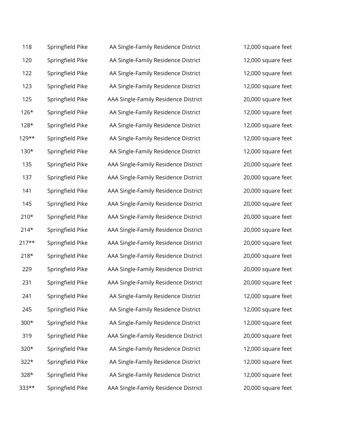| 118     | Springfield Pike | AA Single-Family Residence District  | 12,000 square feet |
|---------|------------------|--------------------------------------|--------------------|
| 120     | Springfield Pike | AA Single-Family Residence District  | 12,000 square feet |
| 122     | Springfield Pike | AA Single-Family Residence District  | 12,000 square feet |
| 123     | Springfield Pike | AA Single-Family Residence District  | 12,000 square feet |
| 125     | Springfield Pike | AAA Single-Family Residence District | 20,000 square feet |
| $126*$  | Springfield Pike | AA Single-Family Residence District  | 12,000 square feet |
| $128*$  | Springfield Pike | AA Single-Family Residence District  | 12,000 square feet |
| 129**   | Springfield Pike | AA Single-Family Residence District  | 12,000 square feet |
| $130*$  | Springfield Pike | AA Single-Family Residence District  | 12,000 square feet |
| 135     | Springfield Pike | AAA Single-Family Residence District | 20,000 square feet |
| 137     | Springfield Pike | AAA Single-Family Residence District | 20,000 square feet |
| 141     | Springfield Pike | AAA Single-Family Residence District | 20,000 square feet |
| 145     | Springfield Pike | AAA Single-Family Residence District | 20,000 square feet |
| $210*$  | Springfield Pike | AAA Single-Family Residence District | 20,000 square feet |
| $214*$  | Springfield Pike | AAA Single-Family Residence District | 20,000 square feet |
| $217**$ | Springfield Pike | AAA Single-Family Residence District | 20,000 square feet |
| $218*$  | Springfield Pike | AAA Single-Family Residence District | 20,000 square feet |
| 229     | Springfield Pike | AAA Single-Family Residence District | 20,000 square feet |
| 231     | Springfield Pike | AAA Single-Family Residence District | 20,000 square feet |
| 241     | Springfield Pike | AA Single-Family Residence District  | 12,000 square feet |
| 245     | Springfield Pike | AA Single-Family Residence District  | 12,000 square feet |
| $300*$  | Springfield Pike | AA Single-Family Residence District  | 12,000 square feet |
| 319     | Springfield Pike | AAA Single-Family Residence District | 20,000 square feet |
| 320*    | Springfield Pike | AA Single-Family Residence District  | 12,000 square feet |
| $322*$  | Springfield Pike | AA Single-Family Residence District  | 12,000 square feet |
| 328*    | Springfield Pike | AA Single-Family Residence District  | 12,000 square feet |
| 333**   | Springfield Pike | AAA Single-Family Residence District | 20,000 square feet |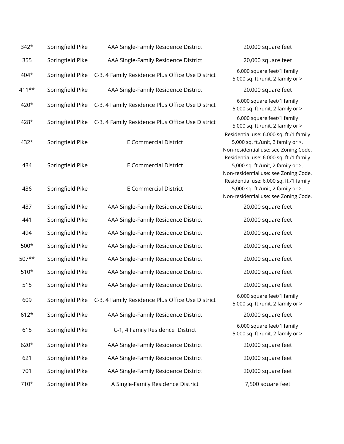| $342*$ | Springfield Pike | AAA Single-Family Residence District                              | 20,000 square feet                                                                                                     |
|--------|------------------|-------------------------------------------------------------------|------------------------------------------------------------------------------------------------------------------------|
| 355    | Springfield Pike | AAA Single-Family Residence District                              | 20,000 square feet                                                                                                     |
| 404*   | Springfield Pike | C-3, 4 Family Residence Plus Office Use District                  | 6,000 square feet/1 family<br>5,000 sq. ft./unit, 2 family or >                                                        |
| 411**  | Springfield Pike | AAA Single-Family Residence District                              | 20,000 square feet                                                                                                     |
| 420*   | Springfield Pike | C-3, 4 Family Residence Plus Office Use District                  | 6,000 square feet/1 family<br>5,000 sq. ft./unit, 2 family or >                                                        |
| 428*   |                  | Springfield Pike C-3, 4 Family Residence Plus Office Use District | 6,000 square feet/1 family<br>5,000 sq. ft./unit, 2 family or >                                                        |
| 432*   | Springfield Pike | <b>E Commercial District</b>                                      | Residential use: 6,000 sq. ft./1 family<br>5,000 sq. ft./unit, 2 family or >.<br>Non-residential use: see Zoning Code. |
| 434    | Springfield Pike | <b>E Commercial District</b>                                      | Residential use: 6,000 sq. ft./1 family<br>5,000 sq. ft./unit, 2 family or >.<br>Non-residential use: see Zoning Code. |
| 436    | Springfield Pike | <b>E Commercial District</b>                                      | Residential use: 6,000 sq. ft./1 family<br>5,000 sq. ft./unit, 2 family or >.<br>Non-residential use: see Zoning Code. |
| 437    | Springfield Pike | AAA Single-Family Residence District                              | 20,000 square feet                                                                                                     |
| 441    | Springfield Pike | AAA Single-Family Residence District                              | 20,000 square feet                                                                                                     |
| 494    | Springfield Pike | AAA Single-Family Residence District                              | 20,000 square feet                                                                                                     |
| $500*$ | Springfield Pike | AAA Single-Family Residence District                              | 20,000 square feet                                                                                                     |
| 507**  | Springfield Pike | AAA Single-Family Residence District                              | 20,000 square feet                                                                                                     |
| $510*$ | Springfield Pike | AAA Single-Family Residence District                              | 20,000 square feet                                                                                                     |
| 515    | Springfield Pike | AAA Single-Family Residence District                              | 20,000 square feet                                                                                                     |
| 609    |                  | Springfield Pike C-3, 4 Family Residence Plus Office Use District | 6,000 square feet/1 family<br>5,000 sq. ft./unit, 2 family or >                                                        |
| $612*$ | Springfield Pike | AAA Single-Family Residence District                              | 20,000 square feet                                                                                                     |
| 615    | Springfield Pike | C-1, 4 Family Residence District                                  | 6,000 square feet/1 family<br>5,000 sq. ft./unit, 2 family or >                                                        |
| 620*   | Springfield Pike | AAA Single-Family Residence District                              | 20,000 square feet                                                                                                     |
| 621    | Springfield Pike | AAA Single-Family Residence District                              | 20,000 square feet                                                                                                     |
| 701    | Springfield Pike | AAA Single-Family Residence District                              | 20,000 square feet                                                                                                     |
| 710*   | Springfield Pike | A Single-Family Residence District                                | 7,500 square feet                                                                                                      |
|        |                  |                                                                   |                                                                                                                        |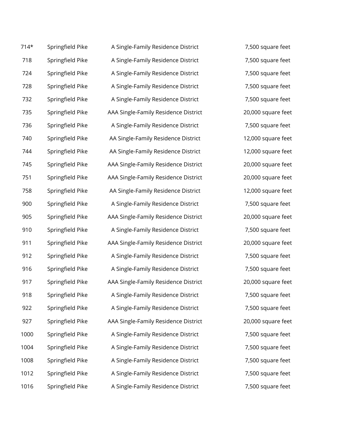| $714*$ | Springfield Pike | A Single-Family Residence District   |
|--------|------------------|--------------------------------------|
| 718    | Springfield Pike | A Single-Family Residence District   |
| 724    | Springfield Pike | A Single-Family Residence District   |
| 728    | Springfield Pike | A Single-Family Residence District   |
| 732    | Springfield Pike | A Single-Family Residence District   |
| 735    | Springfield Pike | AAA Single-Family Residence District |
| 736    | Springfield Pike | A Single-Family Residence District   |
| 740    | Springfield Pike | AA Single-Family Residence District  |
| 744    | Springfield Pike | AA Single-Family Residence District  |
| 745    | Springfield Pike | AAA Single-Family Residence District |
| 751    | Springfield Pike | AAA Single-Family Residence District |
| 758    | Springfield Pike | AA Single-Family Residence District  |
| 900    | Springfield Pike | A Single-Family Residence District   |
| 905    | Springfield Pike | AAA Single-Family Residence District |
| 910    | Springfield Pike | A Single-Family Residence District   |
| 911    | Springfield Pike | AAA Single-Family Residence District |
| 912    | Springfield Pike | A Single-Family Residence District   |
| 916    | Springfield Pike | A Single-Family Residence District   |
| 917    | Springfield Pike | AAA Single-Family Residence District |
| 918    | Springfield Pike | A Single-Family Residence District   |
| 922    | Springfield Pike | A Single-Family Residence District   |
| 927    | Springfield Pike | AAA Single-Family Residence District |
| 1000   | Springfield Pike | A Single-Family Residence District   |
| 1004   | Springfield Pike | A Single-Family Residence District   |
| 1008   | Springfield Pike | A Single-Family Residence District   |
| 1012   | Springfield Pike | A Single-Family Residence District   |
| 1016   | Springfield Pike | A Single-Family Residence District   |

7,500 square feet 7,500 square feet 7,500 square feet 7,500 square feet 7,500 square feet 20,000 square feet 7,500 square feet 12,000 square feet 12,000 square feet 20,000 square feet 20,000 square feet 12,000 square feet 7,500 square feet 20,000 square feet 7,500 square feet 20,000 square feet 7,500 square feet 7,500 square feet 20,000 square feet 7,500 square feet 7,500 square feet 20,000 square feet 7,500 square feet 7,500 square feet 7,500 square feet 7,500 square feet 7,500 square feet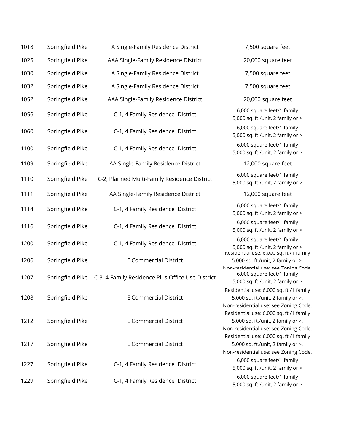| 1018 | Springfield Pike | A Single-Family Residence District                                | 7,500 square feet                                                                                                      |
|------|------------------|-------------------------------------------------------------------|------------------------------------------------------------------------------------------------------------------------|
| 1025 | Springfield Pike | AAA Single-Family Residence District                              | 20,000 square feet                                                                                                     |
| 1030 | Springfield Pike | A Single-Family Residence District                                | 7,500 square feet                                                                                                      |
| 1032 | Springfield Pike | A Single-Family Residence District                                | 7,500 square feet                                                                                                      |
| 1052 | Springfield Pike | AAA Single-Family Residence District                              | 20,000 square feet                                                                                                     |
| 1056 | Springfield Pike | C-1, 4 Family Residence District                                  | 6,000 square feet/1 family<br>5,000 sq. ft./unit, 2 family or >                                                        |
| 1060 | Springfield Pike | C-1, 4 Family Residence District                                  | 6,000 square feet/1 family<br>5,000 sq. ft./unit, 2 family or >                                                        |
| 1100 | Springfield Pike | C-1, 4 Family Residence District                                  | 6,000 square feet/1 family<br>5,000 sq. ft./unit, 2 family or >                                                        |
| 1109 | Springfield Pike | AA Single-Family Residence District                               | 12,000 square feet                                                                                                     |
| 1110 | Springfield Pike | C-2, Planned Multi-Family Residence District                      | 6,000 square feet/1 family<br>5,000 sq. ft./unit, 2 family or >                                                        |
| 1111 | Springfield Pike | AA Single-Family Residence District                               | 12,000 square feet                                                                                                     |
| 1114 | Springfield Pike | C-1, 4 Family Residence District                                  | 6,000 square feet/1 family<br>5,000 sq. ft./unit, 2 family or >                                                        |
| 1116 | Springfield Pike | C-1, 4 Family Residence District                                  | 6,000 square feet/1 family<br>5,000 sq. ft./unit, 2 family or >                                                        |
| 1200 | Springfield Pike | C-1, 4 Family Residence District                                  | 6,000 square feet/1 family<br>5,000 sq. ft./unit, 2 family or >                                                        |
| 1206 | Springfield Pike | <b>E Commercial District</b>                                      | Residential use: 6,000 sq. it./ Flamily<br>5,000 sq. ft./unit, 2 family or >.<br>Non-recidential user cee Zoning Code  |
| 1207 |                  | Springfield Pike C-3, 4 Family Residence Plus Office Use District | 6,000 square feet/1 family<br>5,000 sq. ft./unit, 2 family or >                                                        |
| 1208 | Springfield Pike | <b>E Commercial District</b>                                      | Residential use: 6,000 sq. ft./1 family<br>5,000 sq. ft./unit, 2 family or >.<br>Non-residential use: see Zoning Code. |
| 1212 | Springfield Pike | <b>E</b> Commercial District                                      | Residential use: 6,000 sq. ft./1 family<br>5,000 sq. ft./unit, 2 family or >.<br>Non-residential use: see Zoning Code. |
| 1217 | Springfield Pike | <b>E</b> Commercial District                                      | Residential use: 6,000 sq. ft./1 family<br>5,000 sq. ft./unit, 2 family or >.<br>Non-residential use: see Zoning Code. |
| 1227 | Springfield Pike | C-1, 4 Family Residence District                                  | 6,000 square feet/1 family<br>5,000 sq. ft./unit, 2 family or >                                                        |
| 1229 | Springfield Pike | C-1, 4 Family Residence District                                  | 6,000 square feet/1 family<br>5,000 sq. ft./unit, 2 family or >                                                        |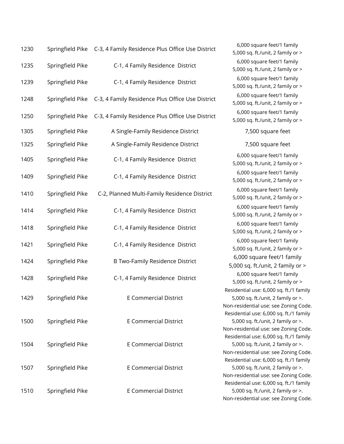| 1230 |                  | Springfield Pike C-3, 4 Family Residence Plus Office Use District |
|------|------------------|-------------------------------------------------------------------|
| 1235 | Springfield Pike | C-1, 4 Family Residence District                                  |
| 1239 | Springfield Pike | C-1, 4 Family Residence District                                  |
| 1248 | Springfield Pike | C-3, 4 Family Residence Plus Office Use District                  |
| 1250 | Springfield Pike | C-3, 4 Family Residence Plus Office Use District                  |
| 1305 | Springfield Pike | A Single-Family Residence District                                |
| 1325 | Springfield Pike | A Single-Family Residence District                                |
| 1405 | Springfield Pike | C-1, 4 Family Residence District                                  |
| 1409 | Springfield Pike | C-1, 4 Family Residence District                                  |
| 1410 | Springfield Pike | C-2, Planned Multi-Family Residence District                      |
| 1414 | Springfield Pike | C-1, 4 Family Residence District                                  |
| 1418 | Springfield Pike | C-1, 4 Family Residence District                                  |
| 1421 | Springfield Pike | C-1, 4 Family Residence District                                  |
| 1424 | Springfield Pike | <b>B Two-Family Residence District</b>                            |
| 1428 | Springfield Pike | C-1, 4 Family Residence District                                  |
| 1429 | Springfield Pike | <b>E</b> Commercial District                                      |
| 1500 | Springfield Pike | <b>E Commercial District</b>                                      |
| 1504 | Springfield Pike | <b>E Commercial District</b>                                      |
| 1507 | Springfield Pike | <b>E Commercial District</b>                                      |
| 1510 | Springfield Pike | <b>E Commercial District</b>                                      |

6,000 square feet/1 family 5,000 sq. ft./unit, 2 family or > 6,000 square feet/1 family 5,000 sq. ft./unit, 2 family or > 6,000 square feet/1 family 5,000 sq. ft./unit, 2 family or > 6,000 square feet/1 family 5,000 sq. ft./unit, 2 family or > 6,000 square feet/1 family 5,000 sq. ft./unit, 2 family or > 7,500 square feet 7,500 square feet 6,000 square feet/1 family 5,000 sq. ft./unit, 2 family or > 6,000 square feet/1 family 5,000 sq. ft./unit, 2 family or > 6,000 square feet/1 family 5,000 sq. ft./unit, 2 family or > 6,000 square feet/1 family 5,000 sq. ft./unit, 2 family or > 6,000 square feet/1 family 5,000 sq. ft./unit, 2 family or > 6,000 square feet/1 family 5,000 sq. ft./unit, 2 family or > 6,000 square feet/1 family 5,000 sq. ft./unit, 2 family or > 6,000 square feet/1 family 5,000 sq. ft./unit, 2 family or > Residential use: 6,000 sq. ft./1 family 5,000 sq. ft./unit, 2 family or >. Non-residential use: see Zoning Code. Residential use: 6,000 sq. ft./1 family 5,000 sq. ft./unit, 2 family or >. Non-residential use: see Zoning Code. Residential use: 6,000 sq. ft./1 family 5,000 sq. ft./unit, 2 family or >. Non-residential use: see Zoning Code. Residential use: 6,000 sq. ft./1 family 5,000 sq. ft./unit, 2 family or >. Non-residential use: see Zoning Code. Residential use: 6,000 sq. ft./1 family 5,000 sq. ft./unit, 2 family or >. Non-residential use: see Zoning Code.